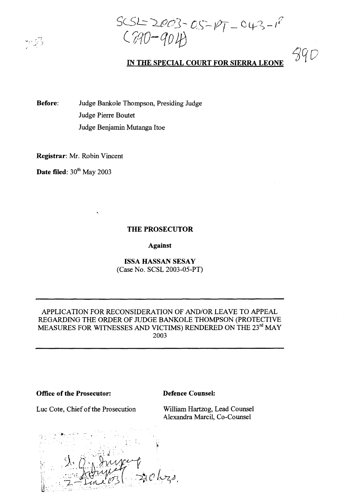$\gamma$   $\mathcal{P}$ 

 $SCSL = 2003 - OS - PT - O43 - I^2$ <br> $CP40-Q04$ 

# **IN THE SPECIAL COURT FOR SIERRA LEONE**

39 D

**Before:** Judge Bankole Thompson, Presiding Judge Judge Pierre Boutet Judge Benjamin Mutanga Hoe

**Registrar:** Mr. Robin Vincent

**Date filed:** 30<sup>th</sup> May 2003

## **THE PROSECUTOR**

**Against**

**ISSA HASSAN SESAY** (Case No. SCSL 2003-05-PT)

## APPLICATION FOR RECONSIDERATION OF AND/OR LEAVE TO APPEAL REGARDING THE ORDER OF JUDGE BANKOLE THOMPSON (PROTECTIVE MEASURES FOR WITNESSES AND VICTIMS) RENDERED ON THE 23rd MAY 2003

**Office of the Prosecutor:** 

Luc Cote, Chief of the Prosecution

**Defence Counsel:**

William Hartzog, Lead Counsel Alexandra Marcil, Co-Counsel

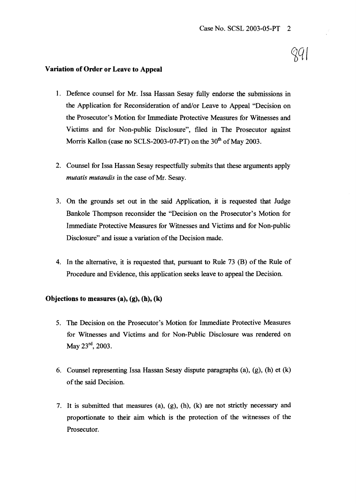### Variation of Order or Leave to Appeal

- 1. Defence counsel for Mr. Issa Hassan Sesay fully endorse the submissions in the Application for Reconsideration of and/or Leave to Appeal "Decision on the Prosecutor's Motion for Immediate Protective Measures for Witnesses and Victims and for Non-public Disclosure", filed in The Prosecutor against Morris Kallon (case no SCLS-2003-07-PT) on the  $30<sup>th</sup>$  of May 2003.
- 2. Counsel for Issa Hassan Sesay respectfully submits that these arguments apply *mutatis mutandis* in the case of Mr. Sesay.
- 3. On the grounds set out in the said Application, it is requested that Judge Bankole Thompson reconsider the "Decision on the Prosecutor's Motion for Immediate Protective Measures for Witnesses and Victims and for Non-public Disclosure" and issue a variation of the Decision made.
- 4. In the alternative, it is requested that, pursuant to Rule  $73$  (B) of the Rule of Procedure and Evidence, this application seeks leave to appeal the Decision.

## Objections to measures  $(a)$ ,  $(g)$ ,  $(h)$ ,  $(k)$

- 5. The Decision on the Prosecutor's Motion for Immediate Protective Measures for Witnesses and Victims and for Non-Public Disclosure was rendered on May 23rd, 2003.
- 6. Counsel representing Issa Hassan Sesay dispute paragraphs  $(a)$ ,  $(g)$ ,  $(h)$  et  $(k)$ of the said Decision.
- 7. It is submitted that measures (a), (g), (h), (k) are not strictly necessary and proportionate to their aim which is the protection of the witnesses of the Prosecutor.

2Û I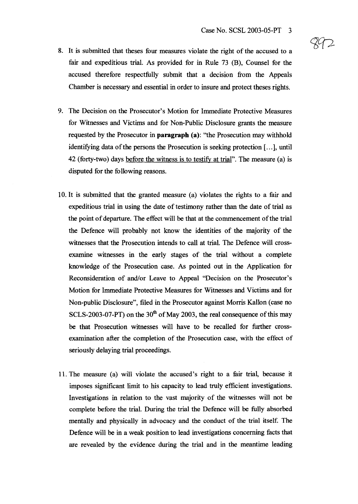- 8. It is submitted that theses four measures violate the right of the accused to a fair and expeditious trial. As provided for in Rule 73 (B), Counsel for the accused therefore respectfully submit that a decision from the Appeals Chamber is necessary and essential in order to insure and protect theses rights.
- 9. The Decision on the Prosecutor's Motion for Immediate Protective Measures for Witnesses and Victims and for Non-Public Disclosure grants the measure requested by the Prosecutor in **paragraph** (a): ''the Prosecution may withhold identifying data of the persons the Prosecution is seeking protection [...], until 42 (forty-two) days before the witness is to testify at trial". The measure (a) is disputed for the following reasons.
- 10. It is submitted that the granted measure (a) violates the rights to a fair and expeditious trial in using the date of testimony rather than the date of trial as the point of departure. The effect will be that at the commencement of the trial the Defence will probably not know the identities of the majority of the witnesses that the Prosecution intends to call at trial. The Defence will crossexamine witnesses in the early stages of the trial without a complete knowledge of the Prosecution case. As pointed out in the Application for Reconsideration of and/or Leave to Appeal "Decision on the Prosecutor's Motion for Immediate Protective Measures for Witnesses and Victims and for Non-public Disclosure", filed in the Prosecutor against Morris Kallon (case no SCLS-2003-07-PT) on the  $30<sup>th</sup>$  of May 2003, the real consequence of this may be that Prosecution witnesses will have to be recalled for further crossexamination after the completion of the Prosecution case, with the effect of seriously delaying trial proceedings.
- 11. The measure (a) will violate the accused's right to a fair triaL because it imposes significant limit to his capacity to lead truly efficient investigations. Investigations in relation to the vast majority of the witnesses will not be complete before the trial. During the trial the Defence will be fully absorbed mentally and physically in advocacy and the conduct of the trial itself. The Defence will be in a weak position to lead investigations concerning facts that are revealed by the evidence during the trial and in the meantime leading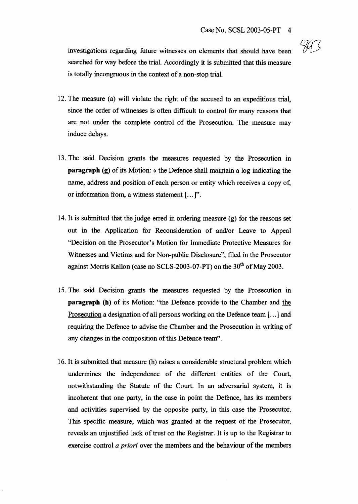investigations regarding future witnesses on elements that should have been searched for way before the trial. Accordingly it is submitted that this measure is totally incongruous in the context of a non-stop trial.

- 12. The measure (a) will violate the right of the accused to an expeditious trial, since the order of witnesses is often difficult to control for many reasons that are not under the complete control of the Prosecution. The measure may induce delays.
- 13. The said Decision grants the measures requested by the Prosecution in **paragraph** (g) of its Motion: « the Defence shall maintain a log indicating the name, address and position of each person or entity which receives a copy of, or information from, a witness statement [...]".
- 14. It is submitted that the judge erred in ordering measure (g) for the reasons set out in the Application for Reconsideration of and/or Leave to Appeal "Decision on the Prosecutor's Motion for Immediate Protective Measures for Witnesses and Victims and for Non-public Disclosure", filed in the Prosecutor against Morris Kallon (case no SCLS-2003-07-PT) on the 30<sup>th</sup> of May 2003.
- 15. The said Decision grants the measures requested by the Prosecution in **paragraph** (h) of its Motion: "the Defence provide to the Chamber and the Prosecution a designation of all persons working on the Defence team [...] and requiring the Defence to advise the Chamber and the Prosecution in writing of any changes in the composition of this Defence team".
- 16. It is submitted that measure (h) raises a considerable structural problem which undermines the independence of the different entities of the Court, notwithstanding the Statute of the Court. In an adversarial system, it is incoherent that one party, in the case in point the Defence, has its members and activities supervised by the opposite party, in this case the Prosecutor. This specific measure, which was granted at the request of the Prosecutor, reveals an unjustified lack of trust on the Registrar. It is up to the Registrar to exercise control *a priori* over the members and the behaviour of the members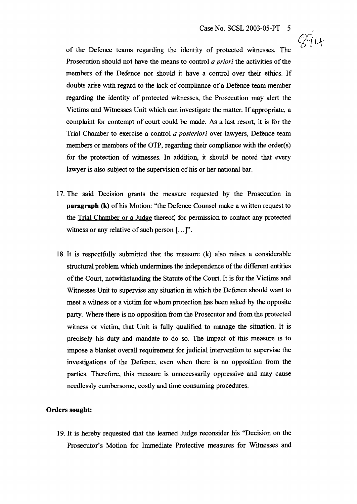294

of the Defence teams regarding the identity of protected witnesses. The Prosecution should not have the means to control *a priori* the activities of the members of the Defence nor should it have <sup>a</sup> control over their ethics. If doubts arise with regard to the lack of compliance of a Defence team member regarding the identity of protected witnesses, the Prosecution may alert the Victims and Witnesses Unit which can investigate the matter. If appropriate, a complaint for contempt of court could be made. As a last resort, it is for the Trial Chamber to exercise a control *a posteriori* over lawyers, Defence team members or members of the OTP, regarding their compliance with the order(s) for the protection of witnesses. In addition, it should be noted that every lawyer is also subject to the supervision of his or her national bar.

- 17. The said Decision grants the measure requested by the Prosecution in **paragraph** (k) of his Motion: "the Defence Counsel make a written request to the Trial Chamber or a Judge thereof, for permission to contact any protected witness or any relative of such person  $[\,\ldots\,]$ ".
- 18. It is respectfully submitted that the measure (k) also raises a considerable structural problem which undermines the independence of the different entities of the Court, notwithstanding the Statute of the Court. It is for the Victims and Witnesses Unit to supervise any situation in which the Defence should want to meet a witness or a victim for whom protection has been asked by the opposite party. Where there is no opposition from the Prosecutor and from the protected witness or victim, that Unit is fully qualified to manage the situation. It is precisely his duty and mandate to do so. The impact of this measure is to impose a blanket overall requirement for judicial intervention to supervise the investigations of the Defence, even when there is no opposition from the parties. Therefore, this measure is unnecessarily oppressive and may cause needlessly cumbersome, costly and time consuming procedures.

#### **Orders sought:**

19. It is hereby requested that the learned Judge reconsider his "Decision on the Prosecutor's Motion for Immediate Protective measures for Witnesses and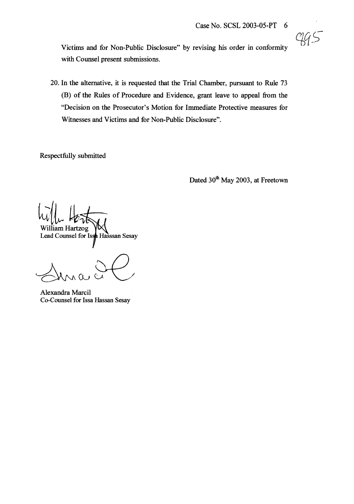Victims and for Non-Public Disclosure" by revising his order in conformity with Counsel present submissions.

20. In the alternative, it is requested that the Trial Chamber, pursuant to Rule 73 (B) of the Rules of Procedure and Evidence, grant leave to appeal from the "Decision on the Prosecutor's Motion for Immediate Protective measures for Witnesses and Victims and for Non-Public Disclosure".

Respectfully submitted

Dated 30<sup>th</sup> May 2003, at Freetown

 $W||_{\alpha}$   $\overline{\leftarrow}$ William Hartzog Lead Counsel for Issa Hasssan Sesay

Alexandra Marcil Co-Counsel for Issa Hassan Sesay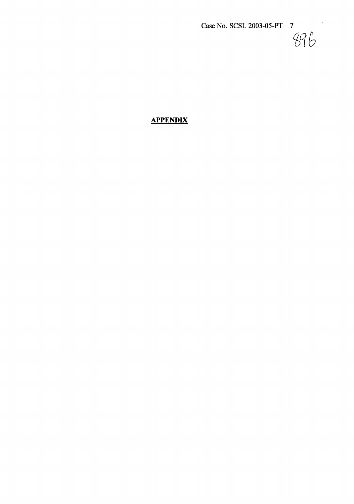*£qb*

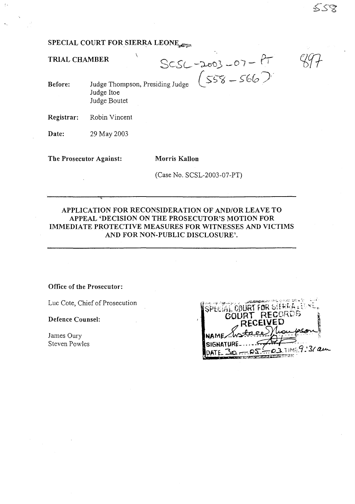# **SPECIAL COURT FOR SIERRA LEONE.**

 $\overline{\phantom{a}}$ 

**TRIAL CHAMBER**

MBER<br>Judge Thompson, Presiding Judge  $(558 - 566)$ 

**Before:** Judge Hoe Judge Boutet

**Registrar:** Robin Vincent

**Date:** 29 May 2003

**The Prosecutor Against: Morris Kallon**

(Case No. SCSL-2003-07-PT)

## **APPLICATION FOR RECONSIDERATION OF AND/OR LEAVE TO APPEAL 'DECISION ON THE PROSECUTOR'S MOTION FOR IMMEDIATE PROTECTIVE MEASURES FOR WITNESSES AND VICTIMS AND FOR NON-PUBLIC DISCLOSURE'.**

### **Office of the Prosecutor:**

Luc Cote, Chief of Prosecution

**Defence Counsel:**

James Oury Steven Powles

| <b>CONTRACTORS</b> OF THE STA<br><b>COURT FOR SEEREALES</b><br>COURT RECORDS |  |
|------------------------------------------------------------------------------|--|
| <b>RECEIVED</b><br><b>NAME</b> Wate                                          |  |
| SIGNATURE_<br>$-05-.03$ TIME 9.31 am                                         |  |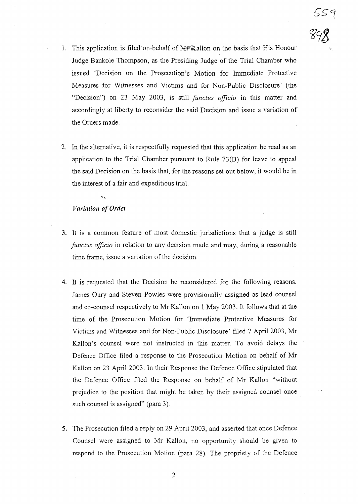559<br>89**8** 

- 1. This application is filed on behalf of Morallon on the basis that His Honour Judge Bankole Thompson, as the Presiding Judge of the Trial Chamber who issued 'Decision on the Prosecution's Motion for Immediate Protective Measures for Witnesses and Victims and for Non-Public Disclosure' (the "Decision") on 23 May 2003, is still *functus officio* in this matter and accordingly at liberty to reconsider the said Decision and issue a variation of the Orders made.
- 2. In the alternative, it is respectfully requested that this application be read as an application to the Trial Chamber pursuant to Rule 73(B) for leave to appeal the said Decision on the basis that, for the reasons set out below, it would be in the interest of a fair and expeditious trial.

# *Variation ofOrder*

- 3. It is a common feature of most domestic jurisdictions that a judge is still *functus officio* in relation to any decision made and may, during a reasonable time frame, issue a variation of the decision.
- 4. It is requested that the Decision be reconsidered for the following reasons. James Oury and Steven Powles were provisionally assigned as lead counsel and co-counsel respectively to Mr Kallon on 1 May 2003. It follows that at the time of the Prosecution Motion for 'Immediate Protective Measures for Victims and Witnesses and for Non-Public Disclosure' filed 7 April 2003, Mr Kallon's counsel were not instructed in this matter. To avoid delays the Defence Office filed a response to the Prosecution Motion on behalf of Mr Kallon on 23 April 2003. In their Response the Defence Office stipulated that the Defence Office filed the Response on behalf of Mr Kallon "without prejudice to the position that might be taken by their assigned counsel once such counsel is assigned" (para 3).
- 5. The Prosecution filed a reply on 29 April 2003, and asserted that once Defence Counsel were assigned to Mr Kallon, no opportunity should be given to respond to the Prosecution Motion (para 28). The propriety of the Defence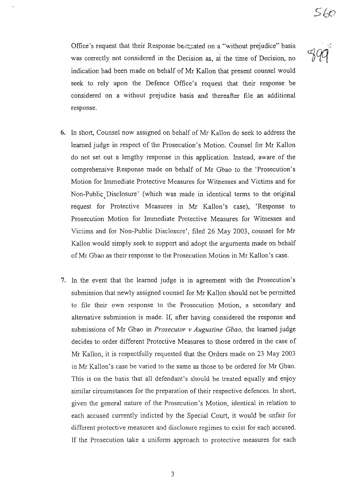56c

Office's request that their Response be<sub>xtimat</sub> ated on a "without prejudice" basis was correctly not considered in the Decision as, at the time of Decision, no indication had been made on behalf of Mr Kallon that present counsel would seek to rely upon the Defence Office's request that their response be considered on a without prejudice basis and thereafter file an additional response.

- 6. In short, Counsel now assigned on behalf of Mr Kallon do seek to address the learned judge in respect of the Prosecution's Motion. Counsel for Mr Kallon do not set out a lengthy response in this application. Instead, aware of the comprehensive Response made on behalf of Mr Gbao to the 'Prosecution's Motion for Immediate Protective Measures for Witnesses and Victims and for Non-Public Disclosure' (which was made in identical terms to the original request for Protective Measures in Mr Kallon's case), 'Response to Prosecution Motion for Immediate Protective Measures for Witnesses and Victims and for Non-Public Disclosure', filed 26 May 2003, counsel for Mr Kallon would simply seek to support and adopt the arguments made on behalf of Mr Gbao as their response to the Prosecution Motion in Mr Kallon's case.
- 7. In the event that the learned judge is in agreement with the Prosecution's submission that newly assigned counsel for Mr Kallon should not be pennitted to file their own response to the Prosecution Motion, a secondary and alternative submission is made. If, after having considered the response and submissions of Mr Gbao in *Prosecutor* v *Augustine Gbao,* the learned judge decides to order different Protective Measures to those ordered in the case of Mr Kallon, it is respectfully requested that the Orders made on 23 May 2003 in Mr Kallon's case be varied to the same as those to be ordered for Mr Gbao. This is on the basis that all defendant's should be treated equally and enjoy similar circumstances for the preparation of their respective defences. In short, given the general nature of the Prosecution's Motion, identical in relation to each accused currently indicted by the Special Court, it would be unfair for different protective measures and disclosure regimes to exist for each accused. If the Prosecution take a uniform approach to protective measures for each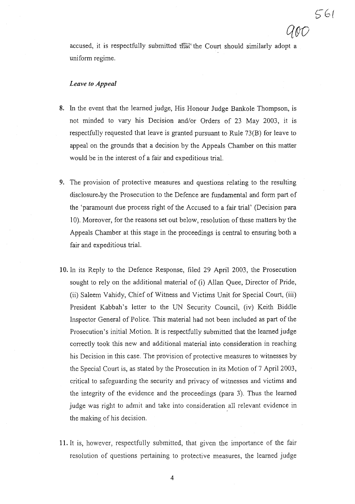accused, it is respectfully submitted the Court should similarly adopt a uniform regime.

### *Leave to Appeal*

- 8. In the event that the learned judge, His Honour Judge Bankole Thompson, is not minded to vary his Decision and/or Orders of 23 May 2003, it is respectfully requested that leave is granted pursuant to Rule 73(B) for leave to appeal on the grounds that a decision by the Appeals Chamber on this matter would be in the interest of a fair and expeditious trial.
- 9. The provision of protective measures and questions relating to the resulting disclosure by the Prosecution to the Defence are fundamental and form part of the 'paramount due process right of the Accused to a fair trial' (Decision para 10). Moreover, for the reasons set out below, resolution ofthese matters by the Appeals Chamber at this stage in the proceedings is central to ensuring both a fair and expeditious trial.
- 10. In its Reply to the Defence Response, filed 29 April 2003, the Prosecution sought to rely on the additional material of (i) Allan Quee, Director of Pride, (ii) Saleem Vahidy, Chief of Witness and Victims Unit for Special Court, (iii) President Kabbah's letter to the UN Security Council, (iv) Keith Biddle Inspector General of Police. This material had not been included as part of the Prosecution's initial Motion. It is respectfully submitted that the learned judge correctly took this new and additional material into consideration in reaching his Decision in this case. The provision of protective measures to witnesses by the Special Court is, as stated by the Prosecution in its Motion of 7 April 2003, critical to safeguarding the security and privacy of witnesses and victims and the integrity of the evidence and the proceedings (para 3). Thus the learned judge was right to admit and take into consideration all relevant evidence in the making of his decision.
- **11.** It is, however, respectfully submitted, that given the importance of the fair resolution of questions pertaining to protective measures, the learned judge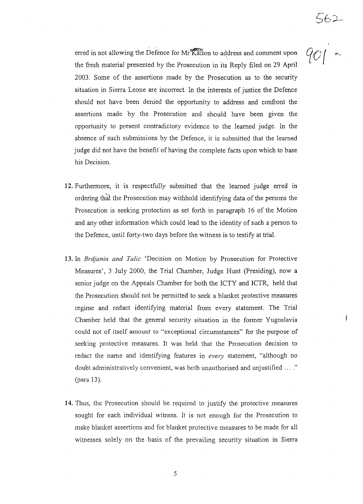erred in not allowing the Defence for Mr Kallon to address and comment upon the fresh material presented by the Prosecution in its Reply filed on 29 April 2003. Some of the assertions made by the Prosecution as to the security situation in Sierra Leone are incorrect. In the interests of justice the Defence should not have been denied the opportunity to address and confront the assertions made by the Prosecution and should have been given the opportunity to present contradictory evidence to the learned judge. In the absence of such submissions by the Defence, it is submitted that the learned judge did not have the benefit of having the complete facts upon which to base his Decision.

 $901$ 

- **12.** Furthermore, it is respectfully submitted that the learned judge erred in ordering that the Prosecution may withhold identifying data of the persons the Prosecution is seeking protection as set forth in paragraph 16 of the Motion and any other information which could lead to the identity of such a person to the Defence, until forty-two days before the witness is to testify at trial.
- **13.** In *Brdjanin and Talic* 'Decision on Motion by Prosecution for Protective Measures', 3 July 2000, the Trial Chamber, Judge Hunt (Presiding), now a senior judge on the Appeals Chamber for both the ICTY and ICTR, held that the Prosecution should not be permitted to seek a blanket protective measures regime and redact identifying material from every statement. The Trial Chamber held that the general security situation in the former Yugoslavia could not of itself amount to "exceptional circumstances" for the purpose of seeking protective measures. It was held that the Prosecution decision to redact the name and identifying features in every statement, "although no doubt administratively convenient, was both unauthorised and unjustified ...." (para 13).
- **14.** Thus, the Prosecution should be required to justify the protective measures sought for each individual witness. It is not enough for the Prosecution to make blanket assertions and for blanket protective measures to be made for all witnesses solely on the basis of the prevailing security situation in Sierra

5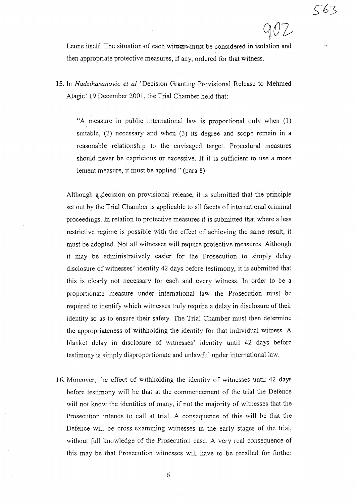$\gamma\eta_2$ 

Leone itself. The situation-of each witness must be considered in isolation and then appropriate protective measures, if any, ordered for that witness.

**15.** In *Hadzihasanovic et al* 'Decision Granting Provisional Release to Mehmed Alagic' 19 December 2001, the Trial Chamber held that:

"A measure in public international law is proportional only when (l) suitable, (2) necessary and when (3) its degree and scope remain in a reasonable relationship to the envisaged target. Procedural measures should never be capricious or excessive. If it is sufficient to use a more lenient measure, it must be applied." (para 8)

Although a decision on provisional release, it is submitted that the principle set out by the Trial Chamber is applicable to all facets of international criminal proceedings. In relation to protective measures it is submitted that where a less restrictive regime is possible with the effect of achieving the same result, it must be adopted. Not all witnesses will require protective measures. Although it may be administratively easier for the Prosecution to simply delay disclosure of witnesses' identity 42 days before testimony, it is submitted that this is clearly not necessary for each and every witness. In order to be a proportionate measure under international law the Prosecution must be required to identify which witnesses truly require a delay in disclosure of their identity so as to ensure their safety. The Trial Chamber must then determine the appropriateness of withholding the identity for that individual witness. A blanket delay in disclosure of witnesses' identity until 42 days before testimony is simply disproportionate and unlawful under international law.

16. Moreover, the effect of withholding the identity of witnesses until 42 days before testimony will be that at the commencement of the trial the Defence will not know the identities of many, if not the majority of witnesses that the Prosecution intends to call at trial. A consequence of this will be that the Defence will be cross-examining witnesses in the early stages of the trial, without full knowledge of the Prosecution case. A very real consequence of this may be that Prosecution witnesses will have to be recalled for further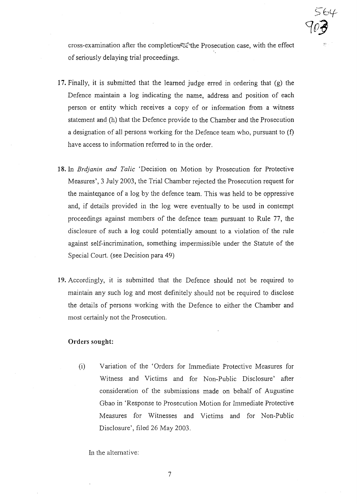cross-examination after the completior is the Prosecution case, with the effect of seriously delaying trial proceedings.

 $>$  04

*C{O'j*

- **17.** Finally, it is submitted that the learned judge erred in ordering that (g) the Defence maintain a log indicating the name, address and position of each person or entity which receives a copy of or information from a witness statement and (h) that the Defence provide to the Chamber and the Prosecution a designation of all persons working for the Defence team who, pursuant to (f) have access to information referred to in the order.
- **18.** In *Brdjanin and Talic* 'Decision on Motion by Prosecution for Protective Measures', 3 July 2003, the Trial Chamber rejected the Prosecution request for the maintenance of a log by the defence team. This was held to be oppressive and, if details provided in the log were eventually to be used in contempt proceedings against members of the defence team pursuant to Rule 77, the disclosure of such a log could potentially amount to a violation of the rule against self-incrimination, something impennissible under the Statute of the Special Court. (see Decision para 49)
- **19.** Accordingly, it is submitted that the Defence should not be required to maintain any such log and most definitely should not be required to disclose the details of persons working with the Defence to either the Chamber and most certainly not the Prosecution.

#### **Orders sought:**

(i) Variation of the 'Orders for Immediate Protective Measures for Witness and Victims and for Non-Public Disclosure' after consideration of the submissions made on behalf of Augustine Gbao in 'Response to Prosecution Motion for Immediate Protective Measures for Witnesses and Victims and for Non-Public Disclosure', filed 26 May 2003.

In the alternative: